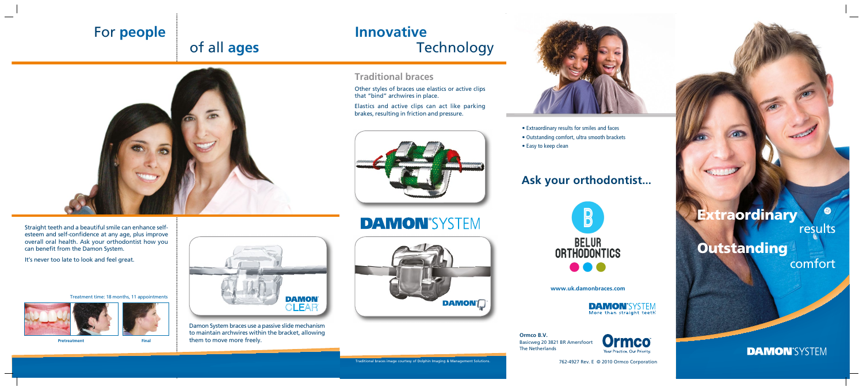## **Traditional braces**

Other styles of braces use elastics or active clips that "bind" archwires in place.

Elastics and active clips can act like parking brakes, resulting in friction and pressure.





Damon System braces use a passive slide mechanism to maintain archwires within the bracket, allowing them to move more freely.

**DAMON'SYSTEM** 



# **Innovative Technology**



- 
- 
- 

## $\bullet$ **Extraordinary** results **Outstanding** comfort

### **DAMON'SYSTEM**

Straight teeth and a beautiful smile can enhance selfesteem and self-confidence at any age, plus improve overall oral health. Ask your orthodontist how you

can benefit from the Damon System.

It's never too late to look and feel great.



# For **people**

# of all **ages**

Traditional braces image courtesy of Dolphin Imaging & Management Solutions.

**Pretreatment Final**

Treatment time: 18 months, 11 appointments



## **Ask your orthodontist...**



• Extraordinary results for smiles and faces • Outstanding comfort, ultra smooth brackets • Easy to keep clean

762-4927 Rev. E © 2010 Ormco Corporation

**Ormco B.V.** Basicweg 20 3821 BR Amersfoort The Netherlands

**www.uk.damonbraces.com**

**DAMON**<sup>'</sup>SYSTEM